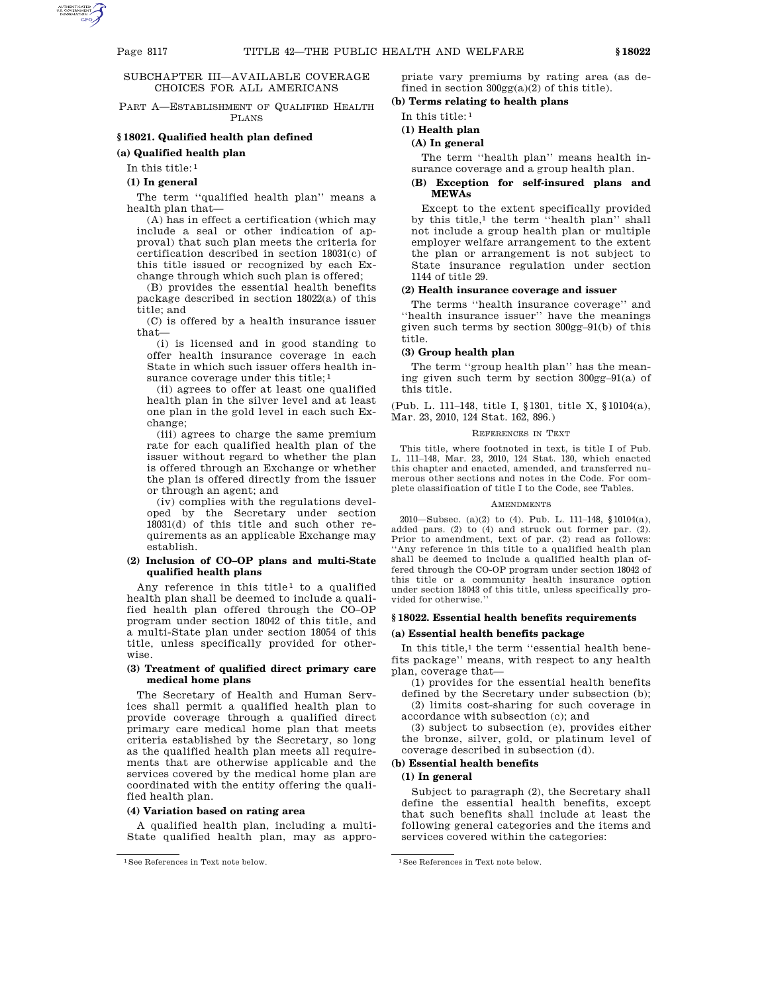# SUBCHAPTER III—AVAILABLE COVERAGE CHOICES FOR ALL AMERICANS

PART A—ESTABLISHMENT OF QUALIFIED HEALTH PLANS

# **§ 18021. Qualified health plan defined**

# **(a) Qualified health plan**

In this title: 1

### **(1) In general**

The term "qualified health plan" means a health plan that—

(A) has in effect a certification (which may include a seal or other indication of approval) that such plan meets the criteria for certification described in section 18031(c) of this title issued or recognized by each Exchange through which such plan is offered;

(B) provides the essential health benefits package described in section 18022(a) of this title; and

(C) is offered by a health insurance issuer that—

(i) is licensed and in good standing to offer health insurance coverage in each State in which such issuer offers health insurance coverage under this title; 1

(ii) agrees to offer at least one qualified health plan in the silver level and at least one plan in the gold level in each such Exchange;

(iii) agrees to charge the same premium rate for each qualified health plan of the issuer without regard to whether the plan is offered through an Exchange or whether the plan is offered directly from the issuer or through an agent; and

(iv) complies with the regulations developed by the Secretary under section 18031(d) of this title and such other requirements as an applicable Exchange may establish.

## **(2) Inclusion of CO–OP plans and multi-State qualified health plans**

Any reference in this title<sup>1</sup> to a qualified health plan shall be deemed to include a qualified health plan offered through the CO–OP program under section 18042 of this title, and a multi-State plan under section 18054 of this title, unless specifically provided for otherwise.

# **(3) Treatment of qualified direct primary care medical home plans**

The Secretary of Health and Human Services shall permit a qualified health plan to provide coverage through a qualified direct primary care medical home plan that meets criteria established by the Secretary, so long as the qualified health plan meets all requirements that are otherwise applicable and the services covered by the medical home plan are coordinated with the entity offering the qualified health plan.

#### **(4) Variation based on rating area**

A qualified health plan, including a multi-State qualified health plan, may as appropriate vary premiums by rating area (as defined in section  $300gg(a)(2)$  of this title).

# **(b) Terms relating to health plans**

In this title: 1

## **(1) Health plan**

## **(A) In general**

The term ''health plan'' means health insurance coverage and a group health plan.

### **(B) Exception for self-insured plans and MEWAs**

Except to the extent specifically provided by this title,<sup>1</sup> the term "health plan" shall not include a group health plan or multiple employer welfare arrangement to the extent the plan or arrangement is not subject to State insurance regulation under section 1144 of title 29.

#### **(2) Health insurance coverage and issuer**

The terms ''health insurance coverage'' and ''health insurance issuer'' have the meanings given such terms by section 300gg–91(b) of this title.

#### **(3) Group health plan**

The term ''group health plan'' has the meaning given such term by section 300gg–91(a) of this title.

(Pub. L. 111–148, title I, §1301, title X, §10104(a), Mar. 23, 2010, 124 Stat. 162, 896.)

### REFERENCES IN TEXT

This title, where footnoted in text, is title I of Pub. L. 111–148, Mar. 23, 2010, 124 Stat. 130, which enacted this chapter and enacted, amended, and transferred numerous other sections and notes in the Code. For complete classification of title I to the Code, see Tables.

### **AMENDMENTS**

2010—Subsec. (a)(2) to (4). Pub. L. 111–148, §10104(a), added pars. (2) to (4) and struck out former par. (2). Prior to amendment, text of par. (2) read as follows: ''Any reference in this title to a qualified health plan shall be deemed to include a qualified health plan offered through the CO-OP program under section 18042 of this title or a community health insurance option under section 18043 of this title, unless specifically provided for otherwise.''

# **§ 18022. Essential health benefits requirements**

## **(a) Essential health benefits package**

In this title, $1$  the term "essential health benefits package'' means, with respect to any health plan, coverage that—

(1) provides for the essential health benefits defined by the Secretary under subsection (b);

(2) limits cost-sharing for such coverage in accordance with subsection (c); and

(3) subject to subsection (e), provides either the bronze, silver, gold, or platinum level of coverage described in subsection (d).

### **(b) Essential health benefits**

# **(1) In general**

Subject to paragraph (2), the Secretary shall define the essential health benefits, except that such benefits shall include at least the following general categories and the items and services covered within the categories:

<sup>&</sup>lt;sup>1</sup>See References in Text note below. <sup>1</sup>See References in Text note below.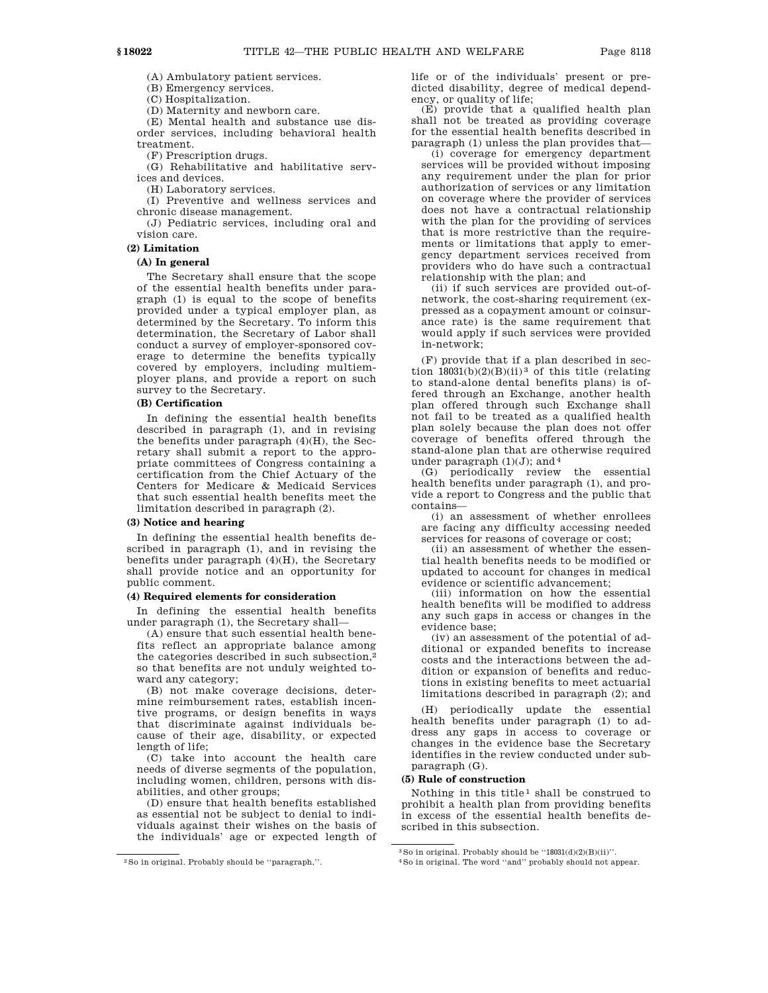(A) Ambulatory patient services.

(B) Emergency services.

(C) Hospitalization.

(D) Maternity and newborn care.

(E) Mental health and substance use disorder services, including behavioral health treatment.

(F) Prescription drugs.

(G) Rehabilitative and habilitative services and devices.

(H) Laboratory services.

(I) Preventive and wellness services and chronic disease management.

(J) Pediatric services, including oral and vision care.

## **(2) Limitation**

# **(A) In general**

The Secretary shall ensure that the scope of the essential health benefits under paragraph (1) is equal to the scope of benefits provided under a typical employer plan, as determined by the Secretary. To inform this determination, the Secretary of Labor shall conduct a survey of employer-sponsored coverage to determine the benefits typically covered by employers, including multiemployer plans, and provide a report on such survey to the Secretary.

### **(B) Certification**

In defining the essential health benefits described in paragraph (1), and in revising the benefits under paragraph (4)(H), the Secretary shall submit a report to the appropriate committees of Congress containing a certification from the Chief Actuary of the Centers for Medicare & Medicaid Services that such essential health benefits meet the limitation described in paragraph (2).

## **(3) Notice and hearing**

In defining the essential health benefits described in paragraph (1), and in revising the benefits under paragraph (4)(H), the Secretary shall provide notice and an opportunity for public comment.

# **(4) Required elements for consideration**

In defining the essential health benefits under paragraph (1), the Secretary shall—

(A) ensure that such essential health benefits reflect an appropriate balance among the categories described in such subsection,2 so that benefits are not unduly weighted toward any category;

(B) not make coverage decisions, determine reimbursement rates, establish incentive programs, or design benefits in ways that discriminate against individuals because of their age, disability, or expected length of life;

(C) take into account the health care needs of diverse segments of the population, including women, children, persons with disabilities, and other groups;

(D) ensure that health benefits established as essential not be subject to denial to individuals against their wishes on the basis of the individuals' age or expected length of life or of the individuals' present or predicted disability, degree of medical dependency, or quality of life;

 $(E)$  provide that a qualified health plan shall not be treated as providing coverage for the essential health benefits described in paragraph (1) unless the plan provides that—

(i) coverage for emergency department services will be provided without imposing any requirement under the plan for prior authorization of services or any limitation on coverage where the provider of services does not have a contractual relationship with the plan for the providing of services that is more restrictive than the requirements or limitations that apply to emergency department services received from providers who do have such a contractual relationship with the plan; and

(ii) if such services are provided out-ofnetwork, the cost-sharing requirement (expressed as a copayment amount or coinsurance rate) is the same requirement that would apply if such services were provided in-network;

(F) provide that if a plan described in section  $18031(b)(2)(B)(ii)^3$  of this title (relating to stand-alone dental benefits plans) is offered through an Exchange, another health plan offered through such Exchange shall not fail to be treated as a qualified health plan solely because the plan does not offer coverage of benefits offered through the stand-alone plan that are otherwise required under paragraph  $(1)(J)$ ; and <sup>4</sup>

(G) periodically review the essential health benefits under paragraph (1), and provide a report to Congress and the public that contains—

(i) an assessment of whether enrollees are facing any difficulty accessing needed services for reasons of coverage or cost;

(ii) an assessment of whether the essential health benefits needs to be modified or updated to account for changes in medical evidence or scientific advancement;

(iii) information on how the essential health benefits will be modified to address any such gaps in access or changes in the evidence base;

(iv) an assessment of the potential of additional or expanded benefits to increase costs and the interactions between the addition or expansion of benefits and reductions in existing benefits to meet actuarial limitations described in paragraph (2); and

(H) periodically update the essential health benefits under paragraph (1) to address any gaps in access to coverage or changes in the evidence base the Secretary identifies in the review conducted under subparagraph (G).

# **(5) Rule of construction**

Nothing in this title<sup>1</sup> shall be construed to prohibit a health plan from providing benefits in excess of the essential health benefits described in this subsection.

<sup>2</sup>So in original. Probably should be ''paragraph,''.

<sup>3</sup>So in original. Probably should be ''18031(d)(2)(B)(ii)''.

<sup>4</sup>So in original. The word ''and'' probably should not appear.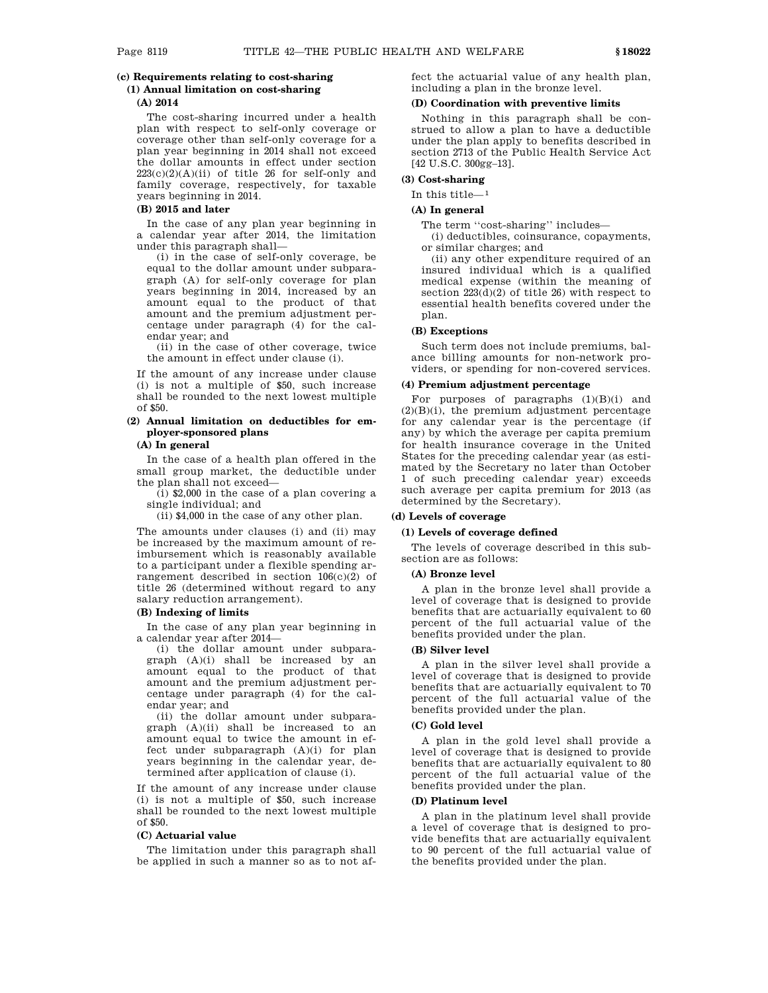# **(c) Requirements relating to cost-sharing**

# **(1) Annual limitation on cost-sharing**

# **(A) 2014**

The cost-sharing incurred under a health plan with respect to self-only coverage or coverage other than self-only coverage for a plan year beginning in 2014 shall not exceed the dollar amounts in effect under section  $223(c)(2)(A)(ii)$  of title 26 for self-only and family coverage, respectively, for taxable years beginning in 2014.

# **(B) 2015 and later**

In the case of any plan year beginning in a calendar year after 2014, the limitation under this paragraph shall—

(i) in the case of self-only coverage, be equal to the dollar amount under subparagraph (A) for self-only coverage for plan years beginning in 2014, increased by an amount equal to the product of that amount and the premium adjustment percentage under paragraph (4) for the calendar year; and

(ii) in the case of other coverage, twice the amount in effect under clause (i).

If the amount of any increase under clause (i) is not a multiple of \$50, such increase shall be rounded to the next lowest multiple of \$50.

# **(2) Annual limitation on deductibles for employer-sponsored plans**

**(A) In general**

In the case of a health plan offered in the small group market, the deductible under the plan shall not exceed—

 $(i)$  \$2,000 in the case of a plan covering a single individual; and

(ii) \$4,000 in the case of any other plan.

The amounts under clauses (i) and (ii) may be increased by the maximum amount of reimbursement which is reasonably available to a participant under a flexible spending arrangement described in section 106(c)(2) of title 26 (determined without regard to any salary reduction arrangement).

## **(B) Indexing of limits**

In the case of any plan year beginning in a calendar year after 2014—

(i) the dollar amount under subparagraph (A)(i) shall be increased by an amount equal to the product of that amount and the premium adjustment percentage under paragraph (4) for the calendar year; and

(ii) the dollar amount under subparagraph (A)(ii) shall be increased to an amount equal to twice the amount in effect under subparagraph (A)(i) for plan years beginning in the calendar year, determined after application of clause (i).

If the amount of any increase under clause (i) is not a multiple of \$50, such increase shall be rounded to the next lowest multiple of \$50.

#### **(C) Actuarial value**

The limitation under this paragraph shall be applied in such a manner so as to not affect the actuarial value of any health plan, including a plan in the bronze level.

# **(D) Coordination with preventive limits**

Nothing in this paragraph shall be construed to allow a plan to have a deductible under the plan apply to benefits described in section 2713 of the Public Health Service Act [42 U.S.C. 300gg–13].

### **(3) Cost-sharing**

In this title—1

### **(A) In general**

The term "cost-sharing" includes—

(i) deductibles, coinsurance, copayments, or similar charges; and

(ii) any other expenditure required of an insured individual which is a qualified medical expense (within the meaning of section  $223(d)(2)$  of title 26) with respect to essential health benefits covered under the plan.

# **(B) Exceptions**

Such term does not include premiums, balance billing amounts for non-network providers, or spending for non-covered services.

## **(4) Premium adjustment percentage**

For purposes of paragraphs (1)(B)(i) and (2)(B)(i), the premium adjustment percentage for any calendar year is the percentage (if any) by which the average per capita premium for health insurance coverage in the United States for the preceding calendar year (as estimated by the Secretary no later than October 1 of such preceding calendar year) exceeds such average per capita premium for 2013 (as determined by the Secretary).

# **(d) Levels of coverage**

## **(1) Levels of coverage defined**

The levels of coverage described in this subsection are as follows:

#### **(A) Bronze level**

A plan in the bronze level shall provide a level of coverage that is designed to provide benefits that are actuarially equivalent to 60 percent of the full actuarial value of the benefits provided under the plan.

### **(B) Silver level**

A plan in the silver level shall provide a level of coverage that is designed to provide benefits that are actuarially equivalent to 70 percent of the full actuarial value of the benefits provided under the plan.

# **(C) Gold level**

A plan in the gold level shall provide a level of coverage that is designed to provide benefits that are actuarially equivalent to 80 percent of the full actuarial value of the benefits provided under the plan.

#### **(D) Platinum level**

A plan in the platinum level shall provide a level of coverage that is designed to provide benefits that are actuarially equivalent to 90 percent of the full actuarial value of the benefits provided under the plan.